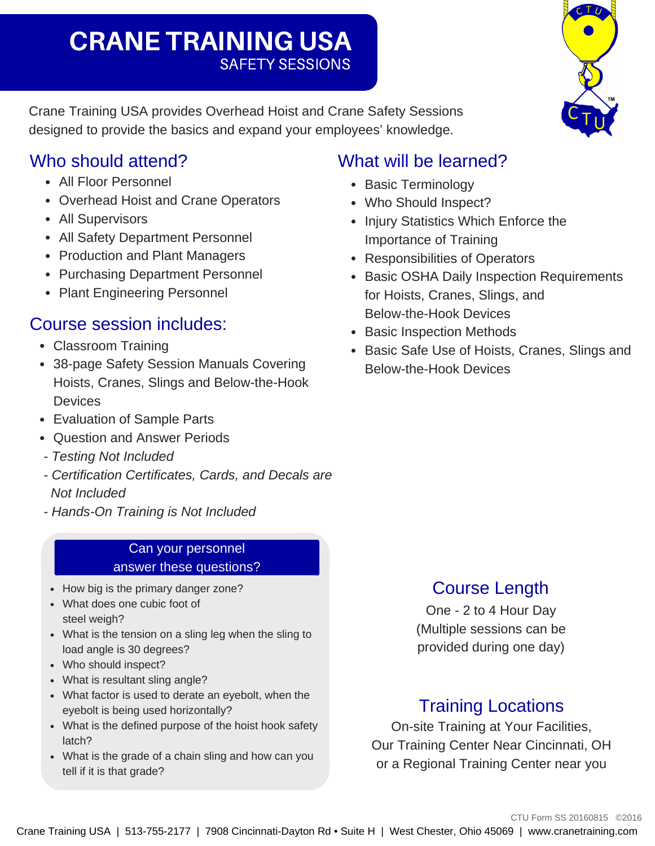# SAFETY SESSIONS CRANE TRAINING USA

Crane Training USA provides Overhead Hoist and Crane Safety Sessions designed to provide the basics and expand your employees' knowledge.

### Who should attend?

- All Floor Personnel
- Overhead Hoist and Crane Operators
- All Supervisors
- All Safety Department Personnel
- Production and Plant Managers
- Purchasing Department Personnel
- Plant Engineering Personnel

# Course session includes:

- Classroom Training
- 38-page Safety Session Manuals Covering Hoists, Cranes, Slings and Below-the-Hook **Devices**
- Evaluation of Sample Parts
- Ouestion and Answer Periods
- *Testing Not Included*
- *Certification Certificates, Cards, and Decals are Not Included*
- *HandsOn Training is Not Included*

#### Can your personnel answer these questions?

- How big is the primary danger zone?
- What does one cubic foot of steel weigh?
- What is the tension on a sling leg when the sling to load angle is 30 degrees?
- Who should inspect?
- What is resultant sling angle?
- What factor is used to derate an eyebolt, when the eyebolt is being used horizontally?
- What is the defined purpose of the hoist hook safety latch?
- What is the grade of a chain sling and how can you tell if it is that grade?

# What will be learned?

- Basic Terminology
- Who Should Inspect?
- Injury Statistics Which Enforce the Importance of Training
- Responsibilities of Operators
- Basic OSHA Daily Inspection Requirements for Hoists, Cranes, Slings, and Below-the-Hook Devices
- Basic Inspection Methods
- Basic Safe Use of Hoists, Cranes, Slings and Below-the-Hook Devices

# Course Length

One - 2 to 4 Hour Day (Multiple sessions can be provided during one day)

# Training Locations

On-site Training at Your Facilities, Our Training Center Near Cincinnati, OH or a Regional Training Center near you